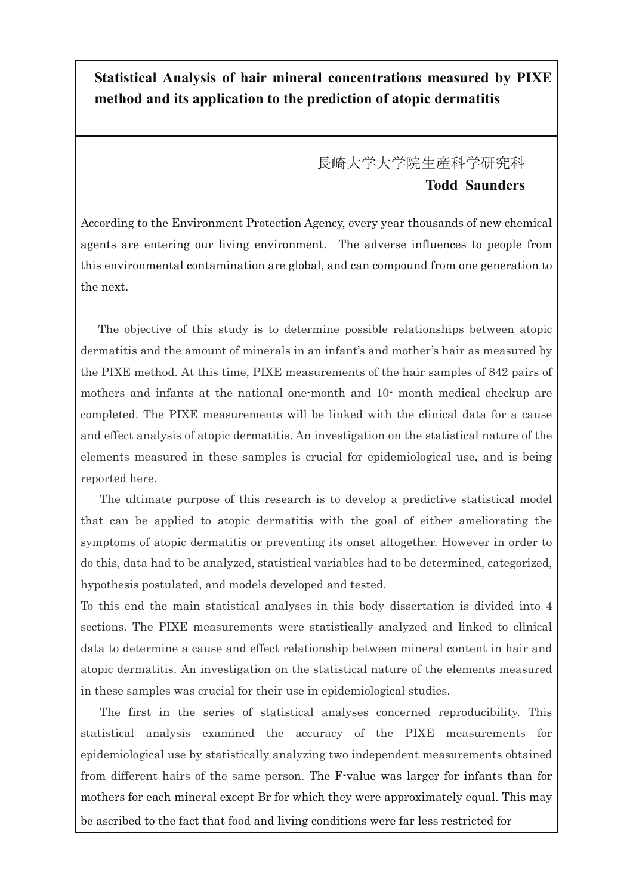## **Statistical Analysis of hair mineral concentrations measured by PIXE method and its application to the prediction of atopic dermatitis**

## 長崎大学大学院生産科学研究科 **Todd Saunders**

According to the Environment Protection Agency, every year thousands of new chemical agents are entering our living environment. The adverse influences to people from this environmental contamination are global, and can compound from one generation to the next.

 The objective of this study is to determine possible relationships between atopic dermatitis and the amount of minerals in an infant's and mother's hair as measured by the PIXE method. At this time, PIXE measurements of the hair samples of 842 pairs of mothers and infants at the national one-month and 10- month medical checkup are completed. The PIXE measurements will be linked with the clinical data for a cause and effect analysis of atopic dermatitis. An investigation on the statistical nature of the elements measured in these samples is crucial for epidemiological use, and is being reported here.

 The ultimate purpose of this research is to develop a predictive statistical model that can be applied to atopic dermatitis with the goal of either ameliorating the symptoms of atopic dermatitis or preventing its onset altogether. However in order to do this, data had to be analyzed, statistical variables had to be determined, categorized, hypothesis postulated, and models developed and tested.

To this end the main statistical analyses in this body dissertation is divided into 4 sections. The PIXE measurements were statistically analyzed and linked to clinical data to determine a cause and effect relationship between mineral content in hair and atopic dermatitis. An investigation on the statistical nature of the elements measured in these samples was crucial for their use in epidemiological studies.

 The first in the series of statistical analyses concerned reproducibility. This statistical analysis examined the accuracy of the PIXE measurements for epidemiological use by statistically analyzing two independent measurements obtained from different hairs of the same person. The F-value was larger for infants than for mothers for each mineral except Br for which they were approximately equal. This may be ascribed to the fact that food and living conditions were far less restricted for